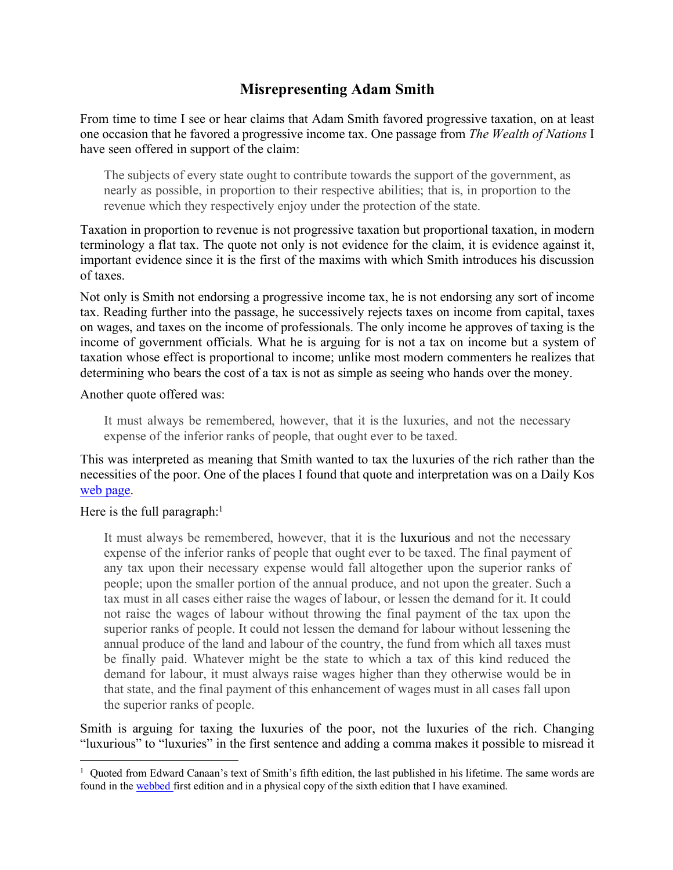# **Misrepresenting Adam Smith**

From time to time I see or hear claims that Adam Smith favored progressive taxation, on at least one occasion that he favored a progressive income tax. One passage from *The Wealth of Nations* I have seen offered in support of the claim:

The subjects of every state ought to contribute towards the support of the government, as nearly as possible, in proportion to their respective abilities; that is, in proportion to the revenue which they respectively enjoy under the protection of the state.

Taxation in proportion to revenue is not progressive taxation but proportional taxation, in modern terminology a flat tax. The quote not only is not evidence for the claim, it is evidence against it, important evidence since it is the first of the maxims with which Smith introduces his discussion of taxes.

Not only is Smith not endorsing a progressive income tax, he is not endorsing any sort of income tax. Reading further into the passage, he successively rejects taxes on income from capital, taxes on wages, and taxes on the income of professionals. The only income he approves of taxing is the income of government officials. What he is arguing for is not a tax on income but a system of taxation whose effect is proportional to income; unlike most modern commenters he realizes that determining who bears the cost of a tax is not as simple as seeing who hands over the money.

Another quote offered was:

It must always be remembered, however, that it is the luxuries, and not the necessary expense of the inferior ranks of people, that ought ever to be taxed.

This was interpreted as meaning that Smith wanted to tax the luxuries of the rich rather than the necessities of the poor. One of the places I found that quote and interpretation was on a Daily Kos web page.

### Here is the full paragraph: $<sup>1</sup>$ </sup>

It must always be remembered, however, that it is the luxurious and not the necessary expense of the inferior ranks of people that ought ever to be taxed. The final payment of any tax upon their necessary expense would fall altogether upon the superior ranks of people; upon the smaller portion of the annual produce, and not upon the greater. Such a tax must in all cases either raise the wages of labour, or lessen the demand for it. It could not raise the wages of labour without throwing the final payment of the tax upon the superior ranks of people. It could not lessen the demand for labour without lessening the annual produce of the land and labour of the country, the fund from which all taxes must be finally paid. Whatever might be the state to which a tax of this kind reduced the demand for labour, it must always raise wages higher than they otherwise would be in that state, and the final payment of this enhancement of wages must in all cases fall upon the superior ranks of people.

Smith is arguing for taxing the luxuries of the poor, not the luxuries of the rich. Changing "luxurious" to "luxuries" in the first sentence and adding a comma makes it possible to misread it

 $\frac{1}{1}$ <sup>1</sup> Quoted from Edward Canaan's text of Smith's fifth edition, the last published in his lifetime. The same words are found in the webbed first edition and in a physical copy of the sixth edition that I have examined.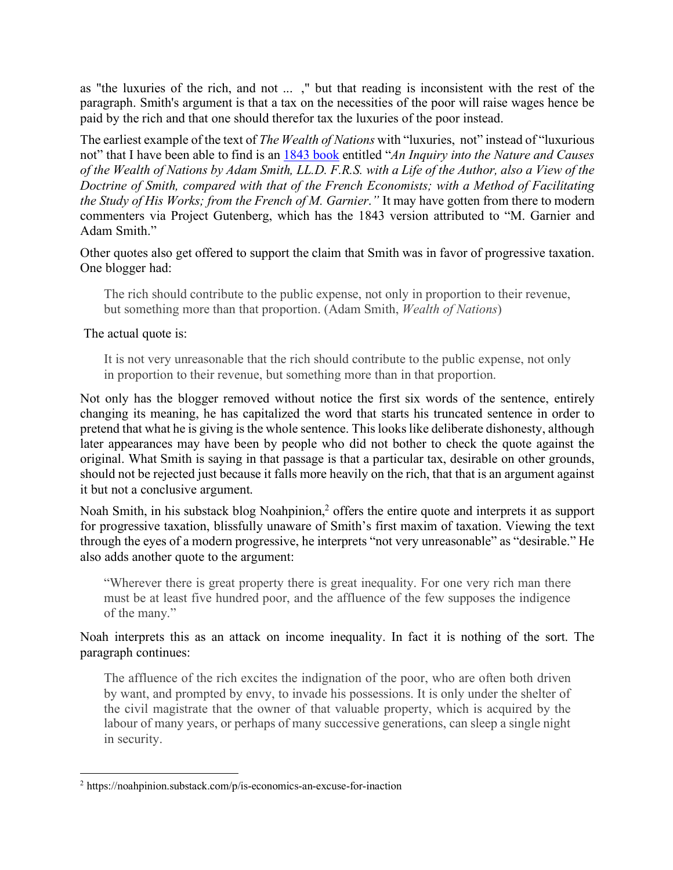as "the luxuries of the rich, and not ... ," but that reading is inconsistent with the rest of the paragraph. Smith's argument is that a tax on the necessities of the poor will raise wages hence be paid by the rich and that one should therefor tax the luxuries of the poor instead.

The earliest example of the text of *The Wealth of Nations* with "luxuries, not" instead of "luxurious not" that I have been able to find is an 1843 book entitled "*An Inquiry into the Nature and Causes of the Wealth of Nations by Adam Smith, LL.D. F.R.S. with a Life of the Author, also a View of the Doctrine of Smith, compared with that of the French Economists; with a Method of Facilitating the Study of His Works; from the French of M. Garnier*.*"* It may have gotten from there to modern commenters via Project Gutenberg, which has the 1843 version attributed to "M. Garnier and Adam Smith."

Other quotes also get offered to support the claim that Smith was in favor of progressive taxation. One blogger had:

The rich should contribute to the public expense, not only in proportion to their revenue, but something more than that proportion. (Adam Smith, *Wealth of Nations*)

The actual quote is:

It is not very unreasonable that the rich should contribute to the public expense, not only in proportion to their revenue, but something more than in that proportion.

Not only has the blogger removed without notice the first six words of the sentence, entirely changing its meaning, he has capitalized the word that starts his truncated sentence in order to pretend that what he is giving is the whole sentence. This looks like deliberate dishonesty, although later appearances may have been by people who did not bother to check the quote against the original. What Smith is saying in that passage is that a particular tax, desirable on other grounds, should not be rejected just because it falls more heavily on the rich, that that is an argument against it but not a conclusive argument.

Noah Smith, in his substack blog Noahpinion,<sup>2</sup> offers the entire quote and interprets it as support for progressive taxation, blissfully unaware of Smith's first maxim of taxation. Viewing the text through the eyes of a modern progressive, he interprets "not very unreasonable" as "desirable." He also adds another quote to the argument:

"Wherever there is great property there is great inequality. For one very rich man there must be at least five hundred poor, and the affluence of the few supposes the indigence of the many."

Noah interprets this as an attack on income inequality. In fact it is nothing of the sort. The paragraph continues:

The affluence of the rich excites the indignation of the poor, who are often both driven by want, and prompted by envy, to invade his possessions. It is only under the shelter of the civil magistrate that the owner of that valuable property, which is acquired by the labour of many years, or perhaps of many successive generations, can sleep a single night in security.

 <sup>2</sup> https://noahpinion.substack.com/p/is-economics-an-excuse-for-inaction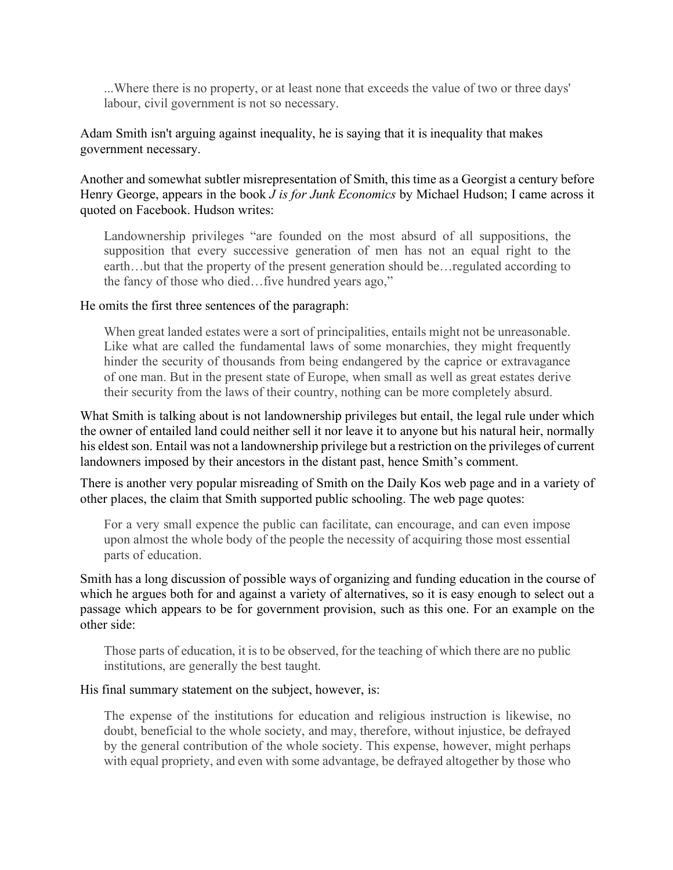...Where there is no property, or at least none that exceeds the value of two or three days' labour, civil government is not so necessary.

Adam Smith isn't arguing against inequality, he is saying that it is inequality that makes government necessary.

Another and somewhat subtler misrepresentation of Smith, this time as a Georgist a century before Henry George, appears in the book *J is for Junk Economics* by Michael Hudson; I came across it quoted on Facebook. Hudson writes:

Landownership privileges "are founded on the most absurd of all suppositions, the supposition that every successive generation of men has not an equal right to the earth…but that the property of the present generation should be…regulated according to the fancy of those who died…five hundred years ago,"

#### He omits the first three sentences of the paragraph:

When great landed estates were a sort of principalities, entails might not be unreasonable. Like what are called the fundamental laws of some monarchies, they might frequently hinder the security of thousands from being endangered by the caprice or extravagance of one man. But in the present state of Europe, when small as well as great estates derive their security from the laws of their country, nothing can be more completely absurd.

What Smith is talking about is not landownership privileges but entail, the legal rule under which the owner of entailed land could neither sell it nor leave it to anyone but his natural heir, normally his eldest son. Entail was not a landownership privilege but a restriction on the privileges of current landowners imposed by their ancestors in the distant past, hence Smith's comment.

There is another very popular misreading of Smith on the Daily Kos web page and in a variety of other places, the claim that Smith supported public schooling. The web page quotes:

For a very small expence the public can facilitate, can encourage, and can even impose upon almost the whole body of the people the necessity of acquiring those most essential parts of education.

Smith has a long discussion of possible ways of organizing and funding education in the course of which he argues both for and against a variety of alternatives, so it is easy enough to select out a passage which appears to be for government provision, such as this one. For an example on the other side:

Those parts of education, it is to be observed, for the teaching of which there are no public institutions, are generally the best taught.

#### His final summary statement on the subject, however, is:

The expense of the institutions for education and religious instruction is likewise, no doubt, beneficial to the whole society, and may, therefore, without injustice, be defrayed by the general contribution of the whole society. This expense, however, might perhaps with equal propriety, and even with some advantage, be defrayed altogether by those who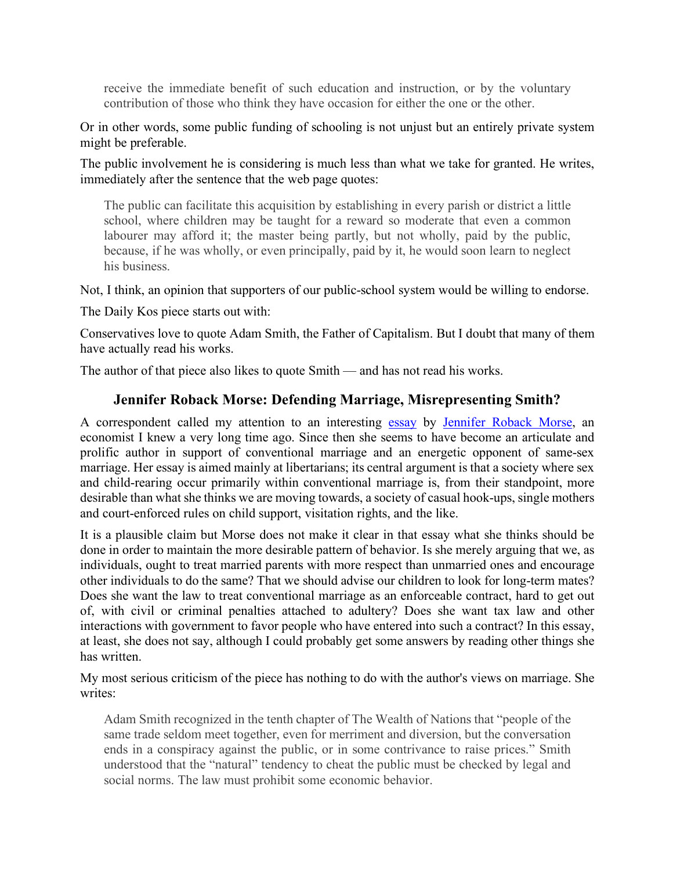receive the immediate benefit of such education and instruction, or by the voluntary contribution of those who think they have occasion for either the one or the other.

Or in other words, some public funding of schooling is not unjust but an entirely private system might be preferable.

The public involvement he is considering is much less than what we take for granted. He writes, immediately after the sentence that the web page quotes:

The public can facilitate this acquisition by establishing in every parish or district a little school, where children may be taught for a reward so moderate that even a common labourer may afford it; the master being partly, but not wholly, paid by the public, because, if he was wholly, or even principally, paid by it, he would soon learn to neglect his business.

Not, I think, an opinion that supporters of our public-school system would be willing to endorse.

The Daily Kos piece starts out with:

Conservatives love to quote Adam Smith, the Father of Capitalism. But I doubt that many of them have actually read his works.

The author of that piece also likes to quote Smith — and has not read his works.

### **Jennifer Roback Morse: Defending Marriage, Misrepresenting Smith?**

A correspondent called my attention to an interesting essay by Jennifer Roback Morse, an economist I knew a very long time ago. Since then she seems to have become an articulate and prolific author in support of conventional marriage and an energetic opponent of same-sex marriage. Her essay is aimed mainly at libertarians; its central argument is that a society where sex and child-rearing occur primarily within conventional marriage is, from their standpoint, more desirable than what she thinks we are moving towards, a society of casual hook-ups, single mothers and court-enforced rules on child support, visitation rights, and the like.

It is a plausible claim but Morse does not make it clear in that essay what she thinks should be done in order to maintain the more desirable pattern of behavior. Is she merely arguing that we, as individuals, ought to treat married parents with more respect than unmarried ones and encourage other individuals to do the same? That we should advise our children to look for long-term mates? Does she want the law to treat conventional marriage as an enforceable contract, hard to get out of, with civil or criminal penalties attached to adultery? Does she want tax law and other interactions with government to favor people who have entered into such a contract? In this essay, at least, she does not say, although I could probably get some answers by reading other things she has written.

My most serious criticism of the piece has nothing to do with the author's views on marriage. She writes:

Adam Smith recognized in the tenth chapter of The Wealth of Nations that "people of the same trade seldom meet together, even for merriment and diversion, but the conversation ends in a conspiracy against the public, or in some contrivance to raise prices." Smith understood that the "natural" tendency to cheat the public must be checked by legal and social norms. The law must prohibit some economic behavior.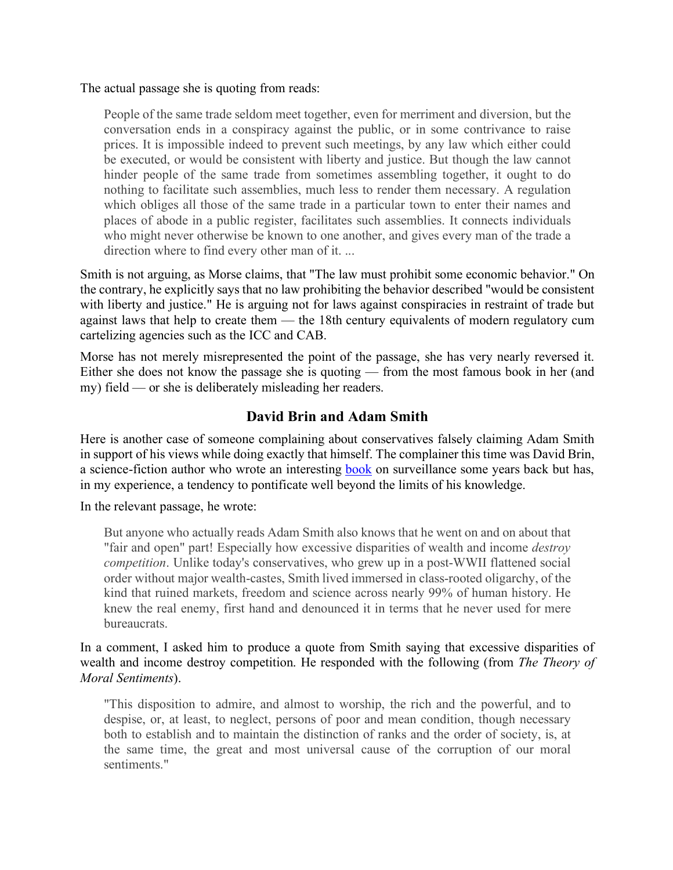The actual passage she is quoting from reads:

People of the same trade seldom meet together, even for merriment and diversion, but the conversation ends in a conspiracy against the public, or in some contrivance to raise prices. It is impossible indeed to prevent such meetings, by any law which either could be executed, or would be consistent with liberty and justice. But though the law cannot hinder people of the same trade from sometimes assembling together, it ought to do nothing to facilitate such assemblies, much less to render them necessary. A regulation which obliges all those of the same trade in a particular town to enter their names and places of abode in a public register, facilitates such assemblies. It connects individuals who might never otherwise be known to one another, and gives every man of the trade a direction where to find every other man of it. ...

Smith is not arguing, as Morse claims, that "The law must prohibit some economic behavior." On the contrary, he explicitly says that no law prohibiting the behavior described "would be consistent with liberty and justice." He is arguing not for laws against conspiracies in restraint of trade but against laws that help to create them — the 18th century equivalents of modern regulatory cum cartelizing agencies such as the ICC and CAB.

Morse has not merely misrepresented the point of the passage, she has very nearly reversed it. Either she does not know the passage she is quoting — from the most famous book in her (and my) field — or she is deliberately misleading her readers.

## **David Brin and Adam Smith**

Here is another case of someone complaining about conservatives falsely claiming Adam Smith in support of his views while doing exactly that himself. The complainer this time was David Brin, a science-fiction author who wrote an interesting book on surveillance some years back but has, in my experience, a tendency to pontificate well beyond the limits of his knowledge.

In the relevant passage, he wrote:

But anyone who actually reads Adam Smith also knows that he went on and on about that "fair and open" part! Especially how excessive disparities of wealth and income *destroy competition*. Unlike today's conservatives, who grew up in a post-WWII flattened social order without major wealth-castes, Smith lived immersed in class-rooted oligarchy, of the kind that ruined markets, freedom and science across nearly 99% of human history. He knew the real enemy, first hand and denounced it in terms that he never used for mere bureaucrats.

In a comment, I asked him to produce a quote from Smith saying that excessive disparities of wealth and income destroy competition. He responded with the following (from *The Theory of Moral Sentiments*).

"This disposition to admire, and almost to worship, the rich and the powerful, and to despise, or, at least, to neglect, persons of poor and mean condition, though necessary both to establish and to maintain the distinction of ranks and the order of society, is, at the same time, the great and most universal cause of the corruption of our moral sentiments."